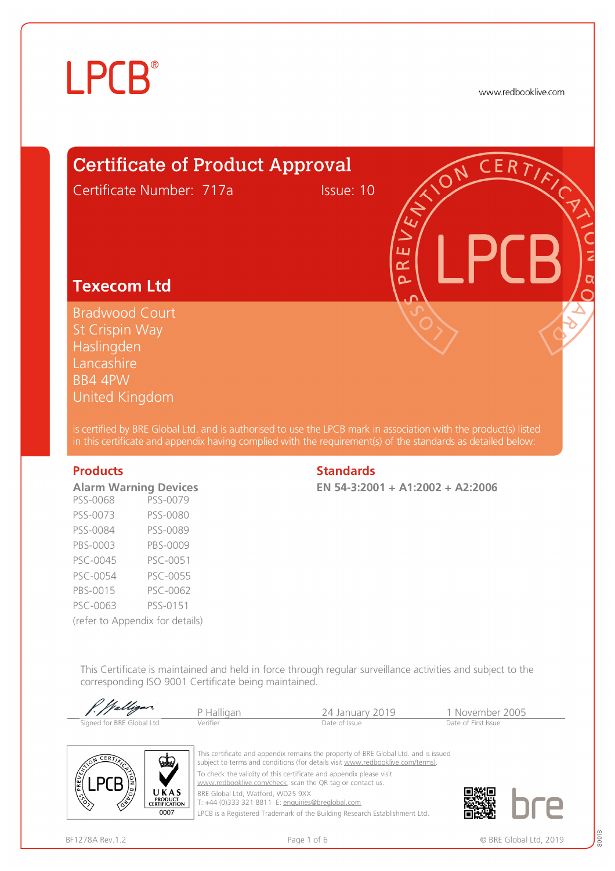www.redbooklive.com

## Certificate of Product Approval

Certificate Number: 717a Issue: 10

## **Texecom Ltd**

Bradwood Court St Crispin Way Haslingden **Lancashire** BB4 4PW United Kingdom

is certified by BRE Global Ltd. and is authorised to use the LPCB mark in association with the product(s) listed in this certificate and appendix having complied with the requirement(s) of the standards as detailed below:

| <b>Alarm Warning Devices</b>    |          |
|---------------------------------|----------|
| PSS-0068                        | PSS-0079 |
| PSS-0073                        | PSS-0080 |
| PSS-0084                        | PSS-0089 |
| PBS-0003                        | PBS-0009 |
| PSC-0045                        | PSC-0051 |
| PSC-0054                        | PSC-0055 |
| PBS-0015                        | PSC-0062 |
| PSC-0063                        | PSS-0151 |
| (refer to Appendix for details) |          |

### **Products** Standards **Standards**

**EN 54-3:2001 + A1:2002 + A2:2006** 

ய œ  $\overline{\mathbf{a}}$ 

This Certificate is maintained and held in force through regular surveillance activities and subject to the corresponding ISO 9001 Certificate being maintained.

| P. Walligar               | P Halligan | 24 January 2019 | 1 November 2005     |  |
|---------------------------|------------|-----------------|---------------------|--|
| Signed for BRE Global Ltd | Verifier   | Date of Issue   | Date of First Issue |  |



This certificate and appendix remains the property of BRE Global Ltd. and is issued subject to terms and conditions (for details visit [www.redbooklive.com/terms\)](http://www.redbooklive.com/terms)). To check the validity of this certificate and appendix please visit [www.redbooklive.com/check,](http://www.redbooklive.com/check) scan the QR tag or contact us. BRE Global Ltd, Watford, WD25 9XX T: +44 (0)333 321 8811 E: [enquiries@breglobal.com](mailto:enquiries@breglobal.com)

LPCB is a Registered Trademark of the Building Research Establishment Ltd.

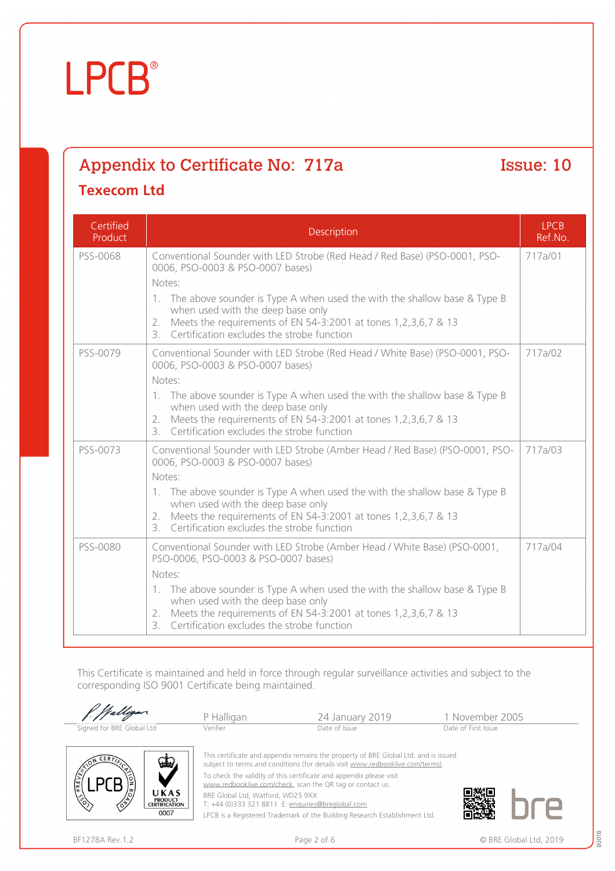## Appendix to Certificate No: 717a Issue: 10

### **Texecom Ltd**

| Certified<br>Product | Description                                                                                                                                                                                                                                                                                                                                                              | <b>LPCB</b><br>Ref.No. |
|----------------------|--------------------------------------------------------------------------------------------------------------------------------------------------------------------------------------------------------------------------------------------------------------------------------------------------------------------------------------------------------------------------|------------------------|
| PSS-0068             | Conventional Sounder with LED Strobe (Red Head / Red Base) (PSO-0001, PSO-<br>0006, PSO-0003 & PSO-0007 bases)<br>Notes:<br>1. The above sounder is Type A when used the with the shallow base & Type B<br>when used with the deep base only<br>Meets the requirements of EN 54-3:2001 at tones 1,2,3,6,7 & 13<br>2.<br>3. Certification excludes the strobe function    | 717a/01                |
| PSS-0079             | Conventional Sounder with LED Strobe (Red Head / White Base) (PSO-0001, PSO-<br>0006, PSO-0003 & PSO-0007 bases)<br>Notes:<br>1. The above sounder is Type A when used the with the shallow base & Type B<br>when used with the deep base only<br>2. Meets the requirements of EN 54-3:2001 at tones 1,2,3,6,7 & 13<br>3. Certification excludes the strobe function     | 717a/02                |
| PSS-0073             | Conventional Sounder with LED Strobe (Amber Head / Red Base) (PSO-0001, PSO-<br>0006, PSO-0003 & PSO-0007 bases)<br>Notes:<br>1. The above sounder is Type A when used the with the shallow base & Type B<br>when used with the deep base only<br>Meets the requirements of EN 54-3:2001 at tones 1,2,3,6,7 & 13<br>2.<br>3. Certification excludes the strobe function  | 717a/03                |
| PSS-0080             | Conventional Sounder with LED Strobe (Amber Head / White Base) (PSO-0001,<br>PSO-0006, PSO-0003 & PSO-0007 bases)<br>Notes:<br>1. The above sounder is Type A when used the with the shallow base & Type B<br>when used with the deep base only<br>2. Meets the requirements of EN 54-3:2001 at tones 1,2,3,6,7 & 13<br>Certification excludes the strobe function<br>3. | 717a/04                |

This Certificate is maintained and held in force through regular surveillance activities and subject to the corresponding ISO 9001 Certificate being maintained.

| · Walligar.                                                                           | P Halligan                                                                                                                       | 24 January 2019                                                                                                                                                       | 1 November 2005     |
|---------------------------------------------------------------------------------------|----------------------------------------------------------------------------------------------------------------------------------|-----------------------------------------------------------------------------------------------------------------------------------------------------------------------|---------------------|
| Signed for BRE Global Ltd                                                             | Verifier                                                                                                                         | Date of Issue                                                                                                                                                         | Date of First Issue |
| $CER$ $\sum$<br>سلما                                                                  |                                                                                                                                  | This certificate and appendix remains the property of BRE Global Ltd. and is issued<br>subject to terms and conditions (for details visit www.redbooklive.com/terms). |                     |
|                                                                                       | To check the validity of this certificate and appendix please visit<br>www.redbooklive.com/check, scan the QR tag or contact us. |                                                                                                                                                                       |                     |
| UKAS<br><b>PRODUCT</b><br>$\langle \hat{\mathcal{S}} \rangle$<br><b>CERTIFICATION</b> | BRE Global Ltd, Watford, WD25 9XX<br>T: +44 (0)333 321 8811 E: enquiries@breglobal.com                                           |                                                                                                                                                                       |                     |
| <b>0007</b>                                                                           | the contract of the contract of the contract of the contract of the contract of the contract of the contract of                  |                                                                                                                                                                       |                     |

LPCB is a Registered Trademark of the Building Research Establishment Ltd.

0007

L

JI C

面設地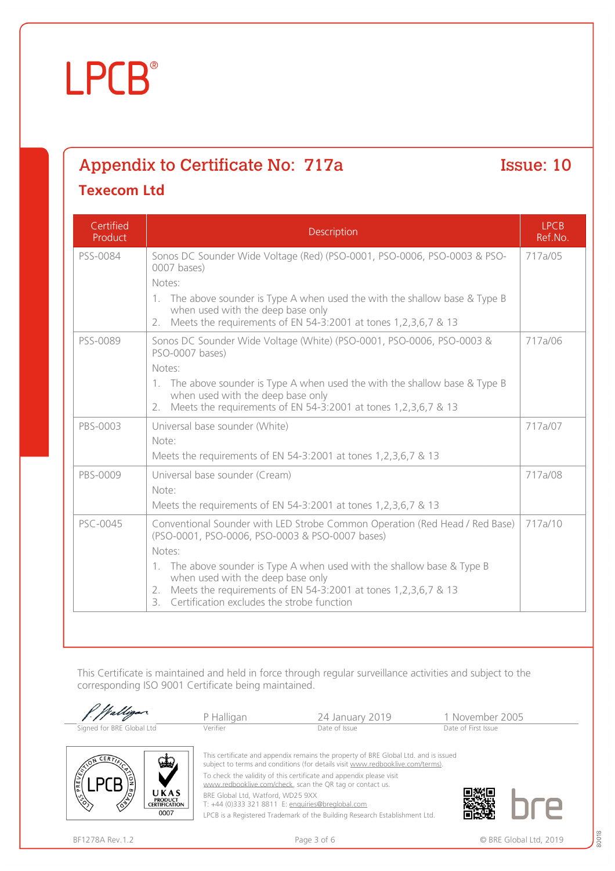## Appendix to Certificate No: 717a Issue: 10 **Texecom Ltd**

| Certified<br>Product | Description                                                                                                                                                                                                                                                                                                                                                                        | <b>LPCB</b><br>Ref.No. |
|----------------------|------------------------------------------------------------------------------------------------------------------------------------------------------------------------------------------------------------------------------------------------------------------------------------------------------------------------------------------------------------------------------------|------------------------|
| PSS-0084             | Sonos DC Sounder Wide Voltage (Red) (PSO-0001, PSO-0006, PSO-0003 & PSO-<br>0007 bases)<br>Notes:<br>$1_{\cdot}$                                                                                                                                                                                                                                                                   | 717a/05                |
|                      | The above sounder is Type A when used the with the shallow base & Type B<br>when used with the deep base only<br>Meets the requirements of EN 54-3:2001 at tones 1,2,3,6,7 & 13<br>2.                                                                                                                                                                                              |                        |
| PSS-0089             | Sonos DC Sounder Wide Voltage (White) (PSO-0001, PSO-0006, PSO-0003 &<br>PSO-0007 bases)<br>Notes:<br>1. The above sounder is Type A when used the with the shallow base & Type B<br>when used with the deep base only<br>Meets the requirements of EN 54-3:2001 at tones 1,2,3,6,7 & 13<br>2.                                                                                     | 717a/06                |
| PBS-0003             | Universal base sounder (White)<br>Note:<br>Meets the requirements of EN 54-3:2001 at tones 1,2,3,6,7 & 13                                                                                                                                                                                                                                                                          | 717a/07                |
| PBS-0009             | Universal base sounder (Cream)<br>Note:<br>Meets the requirements of EN 54-3:2001 at tones 1,2,3,6,7 & 13                                                                                                                                                                                                                                                                          | 717a/08                |
| PSC-0045             | Conventional Sounder with LED Strobe Common Operation (Red Head / Red Base)<br>(PSO-0001, PSO-0006, PSO-0003 & PSO-0007 bases)<br>Notes:<br>1. The above sounder is Type A when used with the shallow base & Type B<br>when used with the deep base only<br>2. Meets the requirements of EN 54-3:2001 at tones 1, 2, 3, 6, 7 & 13<br>3. Certification excludes the strobe function | 717a/10                |

This Certificate is maintained and held in force through regular surveillance activities and subject to the corresponding ISO 9001 Certificate being maintained.

| Walligan.                                                                                                                 | P Halligan                                                                                                                                                                                                                 | 24 January 2019                                                                                                                                                                                                                                     | 1 November 2005     |
|---------------------------------------------------------------------------------------------------------------------------|----------------------------------------------------------------------------------------------------------------------------------------------------------------------------------------------------------------------------|-----------------------------------------------------------------------------------------------------------------------------------------------------------------------------------------------------------------------------------------------------|---------------------|
| Signed for BRE Global Ltd                                                                                                 | Verifier                                                                                                                                                                                                                   | Date of Issue                                                                                                                                                                                                                                       | Date of First Issue |
| CER <sub>T</sub><br>لتطعا<br>Œ<br><b>CRAIG</b><br>UKAS<br>$\mathcal{C}$<br><b>PRODUCT</b><br><b>CERTIFICATION</b><br>0007 | To check the validity of this certificate and appendix please visit<br>www.redbooklive.com/check, scan the QR tag or contact us.<br>BRE Global Ltd, Watford, WD25 9XX<br>T: +44 (0)333 321 8811 E: enquiries@breglobal.com | This certificate and appendix remains the property of BRE Global Ltd. and is issued<br>subject to terms and conditions (for details visit www.redbooklive.com/terms).<br>LPCB is a Registered Trademark of the Building Research Establishment Ltd. |                     |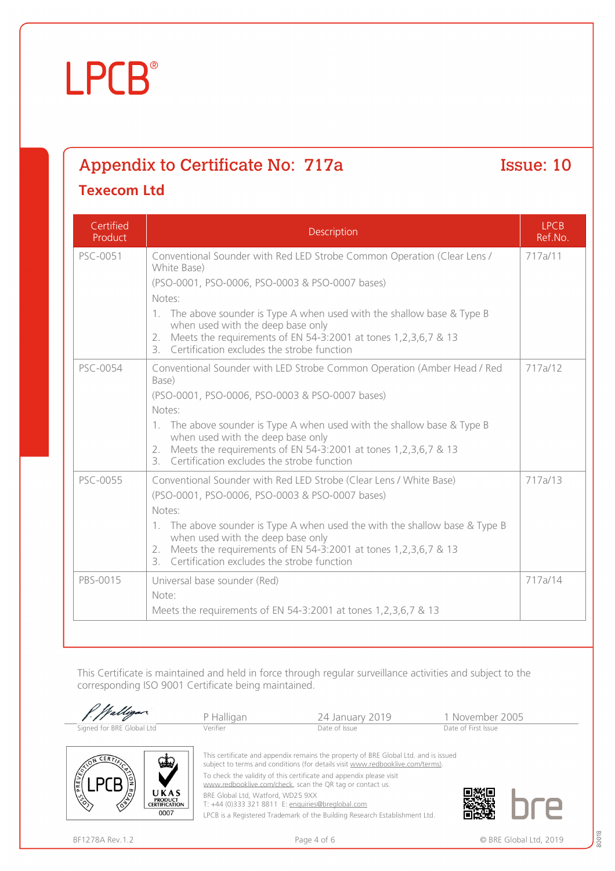## Appendix to Certificate No: 717a Issue: 10 **Texecom Ltd**

| Certified<br>Product | Description                                                                                                                                                                                                                                                                                                                                                                                  | <b>LPCB</b><br>Ref.No. |
|----------------------|----------------------------------------------------------------------------------------------------------------------------------------------------------------------------------------------------------------------------------------------------------------------------------------------------------------------------------------------------------------------------------------------|------------------------|
| PSC-0051             | Conventional Sounder with Red LED Strobe Common Operation (Clear Lens /<br>White Base)<br>(PSO-0001, PSO-0006, PSO-0003 & PSO-0007 bases)<br>Notes:<br>1. The above sounder is Type A when used with the shallow base & Type B<br>when used with the deep base only<br>Meets the requirements of EN 54-3:2001 at tones 1,2,3,6,7 & 13<br>2.<br>3. Certification excludes the strobe function | 717a/11                |
| PSC-0054             | Conventional Sounder with LED Strobe Common Operation (Amber Head / Red<br>Base)<br>(PSO-0001, PSO-0006, PSO-0003 & PSO-0007 bases)<br>Notes:<br>1. The above sounder is Type A when used with the shallow base & Type B<br>when used with the deep base only<br>Meets the requirements of EN 54-3:2001 at tones 1,2,3,6,7 & 13<br>2.<br>3. Certification excludes the strobe function       | 717a/12                |
| PSC-0055             | Conventional Sounder with Red LED Strobe (Clear Lens / White Base)<br>(PSO-0001, PSO-0006, PSO-0003 & PSO-0007 bases)<br>Notes:<br>1. The above sounder is Type A when used the with the shallow base & Type B<br>when used with the deep base only<br>Meets the requirements of EN 54-3:2001 at tones 1,2,3,6,7 & 13<br>2.<br>3. Certification excludes the strobe function                 | 717a/13                |
| PBS-0015             | Universal base sounder (Red)<br>Note:<br>Meets the requirements of EN 54-3:2001 at tones 1,2,3,6,7 & 13                                                                                                                                                                                                                                                                                      | 717a/14                |

This Certificate is maintained and held in force through regular surveillance activities and subject to the corresponding ISO 9001 Certificate being maintained.

|                                                                                | P Halligan                                                                                                                                                                                                                 | 24 January 2019                                                                                                                                                                                                                                     | 1 November 2005     |
|--------------------------------------------------------------------------------|----------------------------------------------------------------------------------------------------------------------------------------------------------------------------------------------------------------------------|-----------------------------------------------------------------------------------------------------------------------------------------------------------------------------------------------------------------------------------------------------|---------------------|
| Signed for BRE Global Ltd                                                      | Verifier                                                                                                                                                                                                                   | Date of Issue                                                                                                                                                                                                                                       | Date of First Issue |
| √ططو<br>PREVEN<br>UKAS<br><b>PRODUCT</b><br>∕È<br><b>CERTIFICATION</b><br>0007 | To check the validity of this certificate and appendix please visit<br>www.redbooklive.com/check, scan the QR tag or contact us.<br>BRE Global Ltd, Watford, WD25 9XX<br>T: +44 (0)333 321 8811 E: enquiries@breglobal.com | This certificate and appendix remains the property of BRE Global Ltd. and is issued<br>subject to terms and conditions (for details visit www.redbooklive.com/terms).<br>LPCB is a Registered Trademark of the Building Research Establishment Ltd. |                     |

80018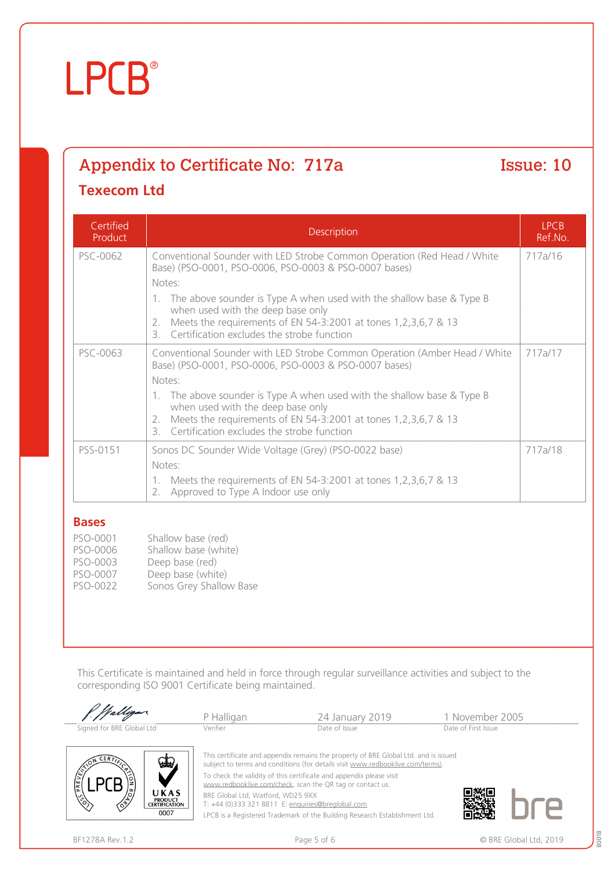## Appendix to Certificate No: 717a Issue: 10

## **Texecom Ltd**

| Certified<br>Product | Description                                                                                                                                                                                                                                                                                                                                                                              | <b>LPCB</b><br>Ref.No. |
|----------------------|------------------------------------------------------------------------------------------------------------------------------------------------------------------------------------------------------------------------------------------------------------------------------------------------------------------------------------------------------------------------------------------|------------------------|
| PSC-0062             | Conventional Sounder with LED Strobe Common Operation (Red Head / White<br>Base) (PSO-0001, PSO-0006, PSO-0003 & PSO-0007 bases)<br>Notes:                                                                                                                                                                                                                                               | 717a/16                |
|                      | The above sounder is Type A when used with the shallow base & Type B<br>1.<br>when used with the deep base only<br>Meets the requirements of EN 54-3:2001 at tones 1,2,3,6,7 & 13<br>2.<br>Certification excludes the strobe function<br>3.                                                                                                                                              |                        |
| PSC-0063             | Conventional Sounder with LED Strobe Common Operation (Amber Head / White<br>Base) (PSO-0001, PSO-0006, PSO-0003 & PSO-0007 bases)<br>Notes:<br>The above sounder is Type A when used with the shallow base & Type B<br>1.<br>when used with the deep base only<br>Meets the requirements of EN 54-3:2001 at tones 1,2,3,6,7 & 13<br>2.<br>3. Certification excludes the strobe function | 717a/17                |
| PSS-0151             | Sonos DC Sounder Wide Voltage (Grey) (PSO-0022 base)<br>Notes:<br>Meets the requirements of EN 54-3:2001 at tones 1,2,3,6,7 & 13<br>1.<br>Approved to Type A Indoor use only<br>2.                                                                                                                                                                                                       | 717a/18                |

### **Bases**

| PSO-0001 | Shallow base (red)      |
|----------|-------------------------|
| PSO-0006 | Shallow base (white)    |
| PSO-0003 | Deep base (red)         |
| PSO-0007 | Deep base (white)       |
| PSO-0022 | Sonos Grey Shallow Base |
|          |                         |

This Certificate is maintained and held in force through regular surveillance activities and subject to the corresponding ISO 9001 Certificate being maintained.

|                                                                                        | P Halligan                        | 24 January 2019                                                                                                                                                                                                                              | 1 November 2005     |
|----------------------------------------------------------------------------------------|-----------------------------------|----------------------------------------------------------------------------------------------------------------------------------------------------------------------------------------------------------------------------------------------|---------------------|
| Signed for BRE Global Ltd                                                              | Verifier                          | Date of Issue                                                                                                                                                                                                                                | Date of First Issue |
| ERT.<br>W.                                                                             |                                   | This certificate and appendix remains the property of BRE Global Ltd. and is issued<br>subject to terms and conditions (for details visit www.redbooklive.com/terms).<br>To check the validity of this certificate and appendix please visit |                     |
| PREVEN                                                                                 |                                   | www.redbooklive.com/check, scan the QR tag or contact us.                                                                                                                                                                                    |                     |
| <b>CRAIG</b><br>UKAS<br>$\frac{\sqrt{3}}{2}$<br><b>PRODUCT</b><br><b>CERTIFICATION</b> | BRE Global Ltd, Watford, WD25 9XX | T: +44 (0)333 321 8811 E: enquiries@breglobal.com                                                                                                                                                                                            |                     |
| 0007                                                                                   |                                   | LPCB is a Registered Trademark of the Building Research Establishment Ltd.                                                                                                                                                                   |                     |

LPCB is a Registered Trademark of the Building Research Establishment Ltd.